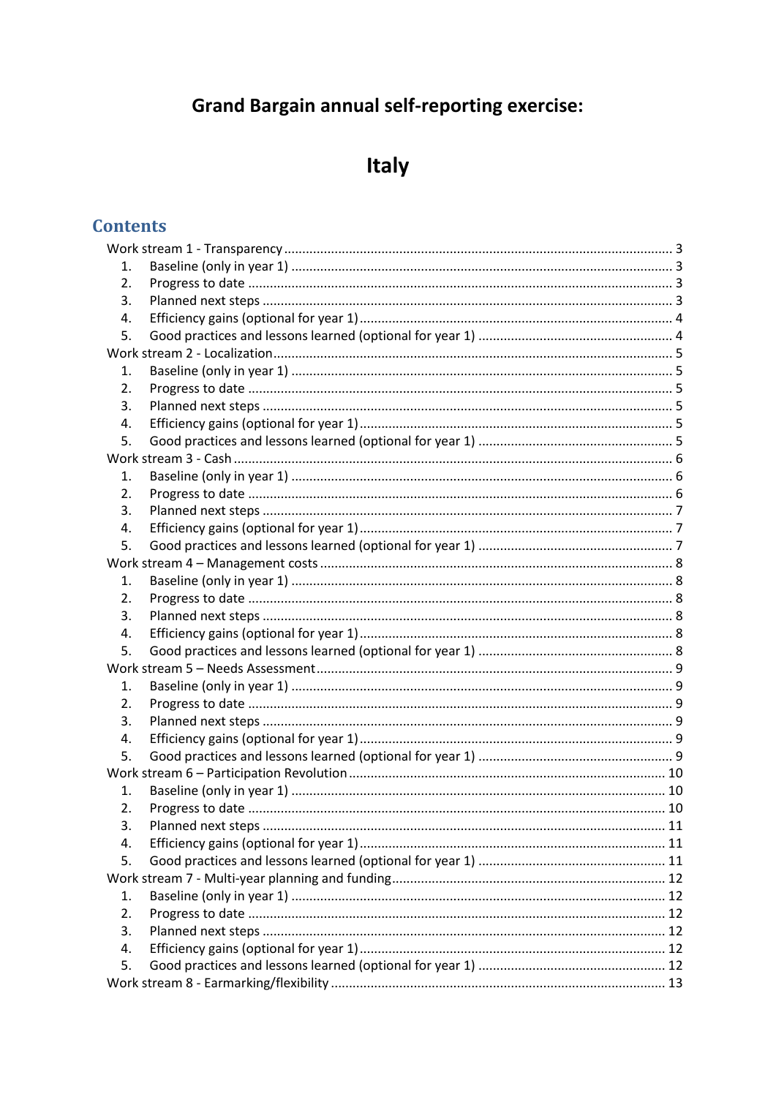## **Grand Bargain annual self-reporting exercise:**

# Italy

## **Contents**

| 1.               |  |
|------------------|--|
| 2.               |  |
| 3.               |  |
| 4.               |  |
| 5.               |  |
|                  |  |
| 1.               |  |
| $\overline{2}$ . |  |
| 3.               |  |
| 4.               |  |
| 5.               |  |
|                  |  |
| 1.               |  |
| 2.               |  |
| 3.               |  |
| 4.               |  |
| 5.               |  |
|                  |  |
| 1.               |  |
| 2.               |  |
| 3.               |  |
| 4.               |  |
| 5.               |  |
|                  |  |
| 1.               |  |
| 2.               |  |
| 3.               |  |
| 4.               |  |
| 5.               |  |
|                  |  |
| 1.               |  |
| 2.               |  |
| 3.               |  |
| 4.               |  |
| 5.               |  |
|                  |  |
| 1.               |  |
| 2.               |  |
| 3.               |  |
| 4.               |  |
| 5.               |  |
|                  |  |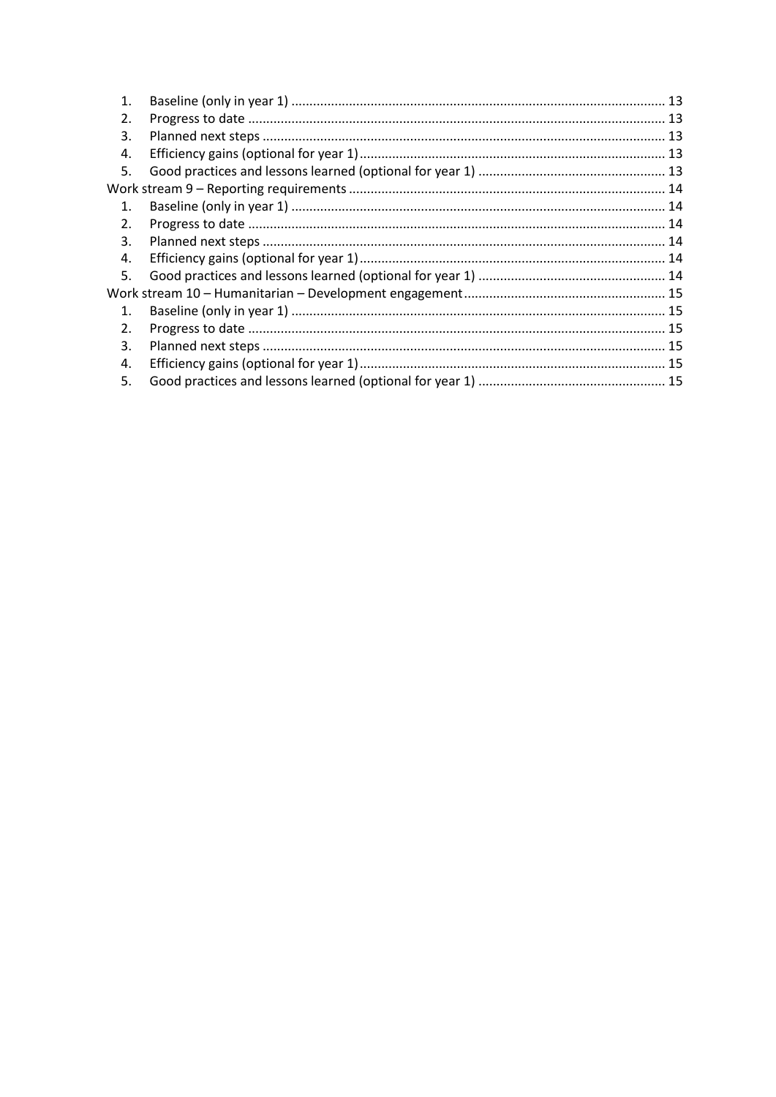| 1.             |  |  |
|----------------|--|--|
| 2.             |  |  |
| 3.             |  |  |
| 4.             |  |  |
| 5.             |  |  |
|                |  |  |
| $\mathbf{1}$ . |  |  |
| 2.             |  |  |
| 3.             |  |  |
| 4.             |  |  |
| 5.             |  |  |
|                |  |  |
| $\mathbf{1}$ . |  |  |
| 2.             |  |  |
| 3.             |  |  |
| 4.             |  |  |
| 5.             |  |  |
|                |  |  |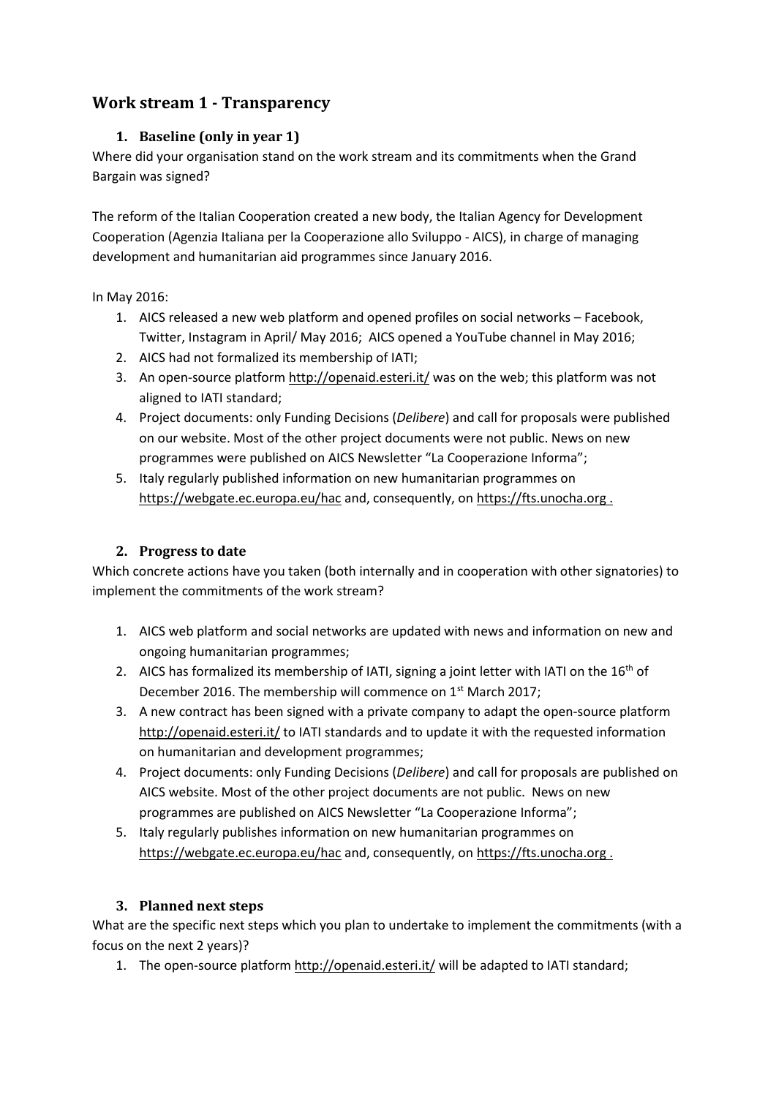## <span id="page-2-1"></span><span id="page-2-0"></span>**Work stream 1 - Transparency**

#### **1. Baseline (only in year 1)**

Where did your organisation stand on the work stream and its commitments when the Grand Bargain was signed?

The reform of the Italian Cooperation created a new body, the Italian Agency for Development Cooperation (Agenzia Italiana per la Cooperazione allo Sviluppo - AICS), in charge of managing development and humanitarian aid programmes since January 2016.

In May 2016:

- 1. AICS released a new web platform and opened profiles on social networks Facebook, Twitter, Instagram in April/ May 2016; AICS opened a YouTube channel in May 2016;
- 2. AICS had not formalized its membership of IATI;
- 3. An open-source platfor[m http://openaid.esteri.it/](http://openaid.esteri.it/) was on the web; this platform was not aligned to IATI standard;
- 4. Project documents: only Funding Decisions (*Delibere*) and call for proposals were published on our website. Most of the other project documents were not public. News on new programmes were published on AICS Newsletter "La Cooperazione Informa";
- 5. Italy regularly published information on new humanitarian programmes on <https://webgate.ec.europa.eu/hac> and, consequently, o[n https://fts.unocha.org](https://fts.unocha.org/) .

## <span id="page-2-2"></span>**2. Progress to date**

Which concrete actions have you taken (both internally and in cooperation with other signatories) to implement the commitments of the work stream?

- 1. AICS web platform and social networks are updated with news and information on new and ongoing humanitarian programmes;
- 2. AICS has formalized its membership of IATI, signing a joint letter with IATI on the  $16<sup>th</sup>$  of December 2016. The membership will commence on 1<sup>st</sup> March 2017;
- 3. A new contract has been signed with a private company to adapt the open-source platform <http://openaid.esteri.it/> to IATI standards and to update it with the requested information on humanitarian and development programmes;
- 4. Project documents: only Funding Decisions (*Delibere*) and call for proposals are published on AICS website. Most of the other project documents are not public. News on new programmes are published on AICS Newsletter "La Cooperazione Informa";
- 5. Italy regularly publishes information on new humanitarian programmes on <https://webgate.ec.europa.eu/hac> and, consequently, o[n https://fts.unocha.org](https://fts.unocha.org/) .

#### <span id="page-2-3"></span>**3. Planned next steps**

What are the specific next steps which you plan to undertake to implement the commitments (with a focus on the next 2 years)?

1. The open-source platform<http://openaid.esteri.it/> will be adapted to IATI standard;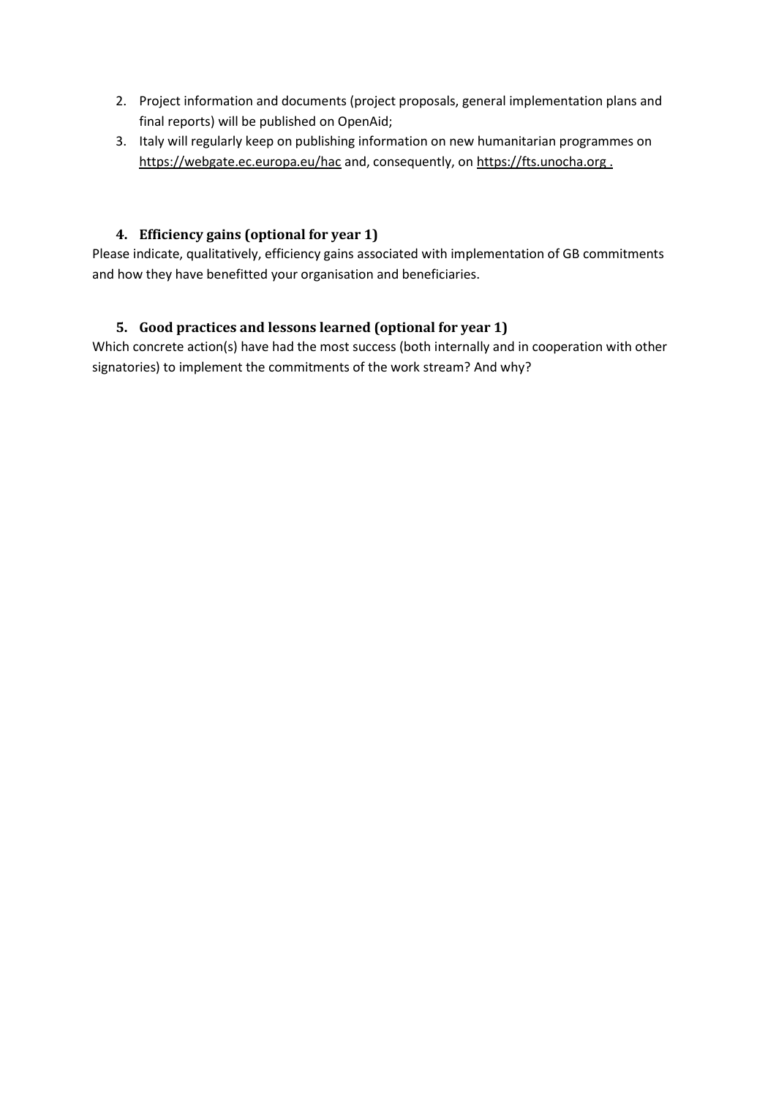- 2. Project information and documents (project proposals, general implementation plans and final reports) will be published on OpenAid;
- 3. Italy will regularly keep on publishing information on new humanitarian programmes on <https://webgate.ec.europa.eu/hac> and, consequently, o[n https://fts.unocha.org](https://fts.unocha.org/).

#### <span id="page-3-0"></span>**4. Efficiency gains (optional for year 1)**

Please indicate, qualitatively, efficiency gains associated with implementation of GB commitments and how they have benefitted your organisation and beneficiaries.

#### <span id="page-3-1"></span>**5. Good practices and lessons learned (optional for year 1)**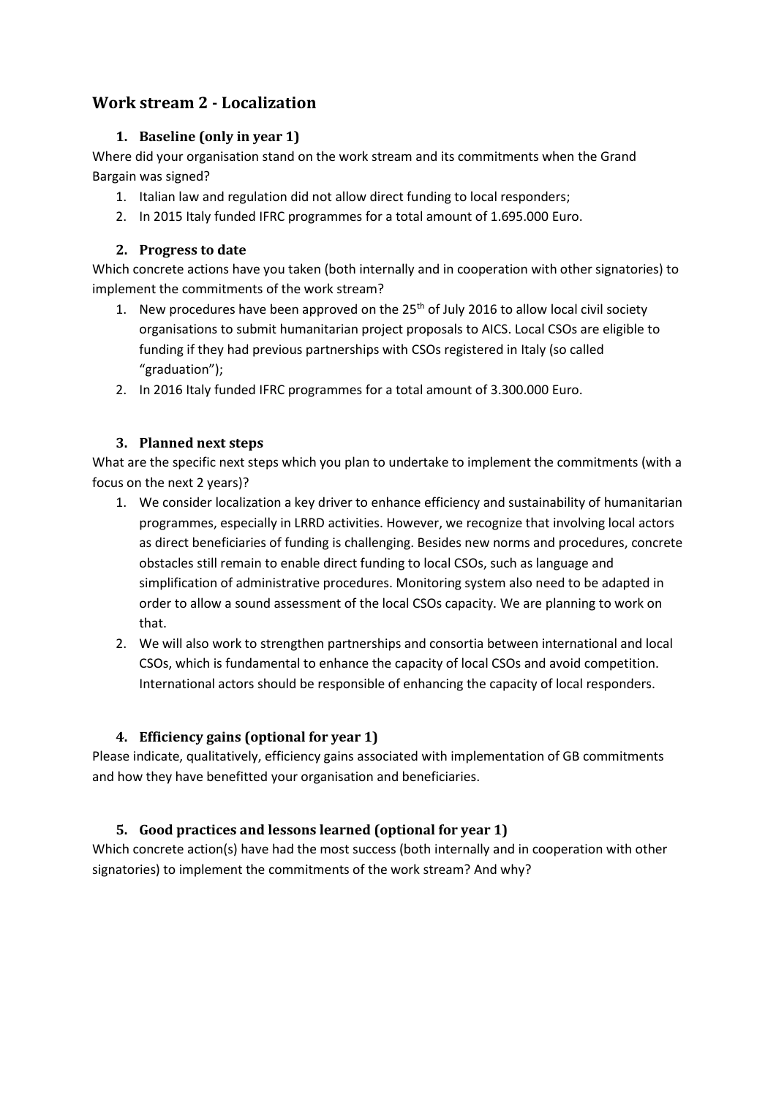## <span id="page-4-1"></span><span id="page-4-0"></span>**Work stream 2 - Localization**

#### **1. Baseline (only in year 1)**

Where did your organisation stand on the work stream and its commitments when the Grand Bargain was signed?

- 1. Italian law and regulation did not allow direct funding to local responders;
- 2. In 2015 Italy funded IFRC programmes for a total amount of 1.695.000 Euro.

#### <span id="page-4-2"></span>**2. Progress to date**

Which concrete actions have you taken (both internally and in cooperation with other signatories) to implement the commitments of the work stream?

- 1. New procedures have been approved on the  $25<sup>th</sup>$  of July 2016 to allow local civil society organisations to submit humanitarian project proposals to AICS. Local CSOs are eligible to funding if they had previous partnerships with CSOs registered in Italy (so called "graduation");
- 2. In 2016 Italy funded IFRC programmes for a total amount of 3.300.000 Euro.

#### <span id="page-4-3"></span>**3. Planned next steps**

What are the specific next steps which you plan to undertake to implement the commitments (with a focus on the next 2 years)?

- 1. We consider localization a key driver to enhance efficiency and sustainability of humanitarian programmes, especially in LRRD activities. However, we recognize that involving local actors as direct beneficiaries of funding is challenging. Besides new norms and procedures, concrete obstacles still remain to enable direct funding to local CSOs, such as language and simplification of administrative procedures. Monitoring system also need to be adapted in order to allow a sound assessment of the local CSOs capacity. We are planning to work on that.
- 2. We will also work to strengthen partnerships and consortia between international and local CSOs, which is fundamental to enhance the capacity of local CSOs and avoid competition. International actors should be responsible of enhancing the capacity of local responders.

## <span id="page-4-4"></span>**4. Efficiency gains (optional for year 1)**

Please indicate, qualitatively, efficiency gains associated with implementation of GB commitments and how they have benefitted your organisation and beneficiaries.

## <span id="page-4-5"></span>**5. Good practices and lessons learned (optional for year 1)**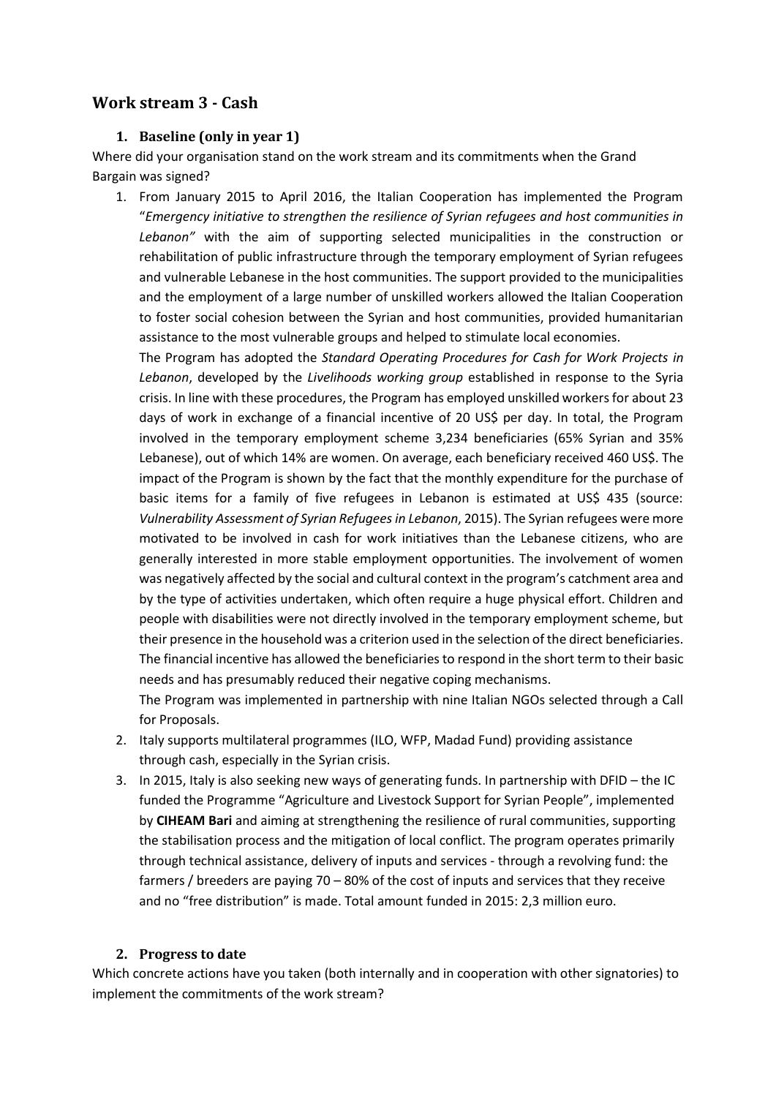#### <span id="page-5-1"></span><span id="page-5-0"></span>**Work stream 3 - Cash**

#### **1. Baseline (only in year 1)**

Where did your organisation stand on the work stream and its commitments when the Grand Bargain was signed?

1. From January 2015 to April 2016, the Italian Cooperation has implemented the Program "*Emergency initiative to strengthen the resilience of Syrian refugees and host communities in Lebanon"* with the aim of supporting selected municipalities in the construction or rehabilitation of public infrastructure through the temporary employment of Syrian refugees and vulnerable Lebanese in the host communities. The support provided to the municipalities and the employment of a large number of unskilled workers allowed the Italian Cooperation to foster social cohesion between the Syrian and host communities, provided humanitarian assistance to the most vulnerable groups and helped to stimulate local economies.

The Program has adopted the *Standard Operating Procedures for Cash for Work Projects in Lebanon*, developed by the *Livelihoods working group* established in response to the Syria crisis. In line with these procedures, the Program has employed unskilled workers for about 23 days of work in exchange of a financial incentive of 20 US\$ per day. In total, the Program involved in the temporary employment scheme 3,234 beneficiaries (65% Syrian and 35% Lebanese), out of which 14% are women. On average, each beneficiary received 460 US\$. The impact of the Program is shown by the fact that the monthly expenditure for the purchase of basic items for a family of five refugees in Lebanon is estimated at US\$ 435 (source: *Vulnerability Assessment of Syrian Refugees in Lebanon*, 2015). The Syrian refugees were more motivated to be involved in cash for work initiatives than the Lebanese citizens, who are generally interested in more stable employment opportunities. The involvement of women was negatively affected by the social and cultural context in the program's catchment area and by the type of activities undertaken, which often require a huge physical effort. Children and people with disabilities were not directly involved in the temporary employment scheme, but their presence in the household was a criterion used in the selection of the direct beneficiaries. The financial incentive has allowed the beneficiaries to respond in the short term to their basic needs and has presumably reduced their negative coping mechanisms.

The Program was implemented in partnership with nine Italian NGOs selected through a Call for Proposals.

- 2. Italy supports multilateral programmes (ILO, WFP, Madad Fund) providing assistance through cash, especially in the Syrian crisis.
- 3. In 2015, Italy is also seeking new ways of generating funds. In partnership with DFID the IC funded the Programme "Agriculture and Livestock Support for Syrian People", implemented by **CIHEAM Bari** and aiming at strengthening the resilience of rural communities, supporting the stabilisation process and the mitigation of local conflict. The program operates primarily through technical assistance, delivery of inputs and services - through a revolving fund: the farmers / breeders are paying 70 – 80% of the cost of inputs and services that they receive and no "free distribution" is made. Total amount funded in 2015: 2,3 million euro.

#### <span id="page-5-2"></span>**2. Progress to date**

Which concrete actions have you taken (both internally and in cooperation with other signatories) to implement the commitments of the work stream?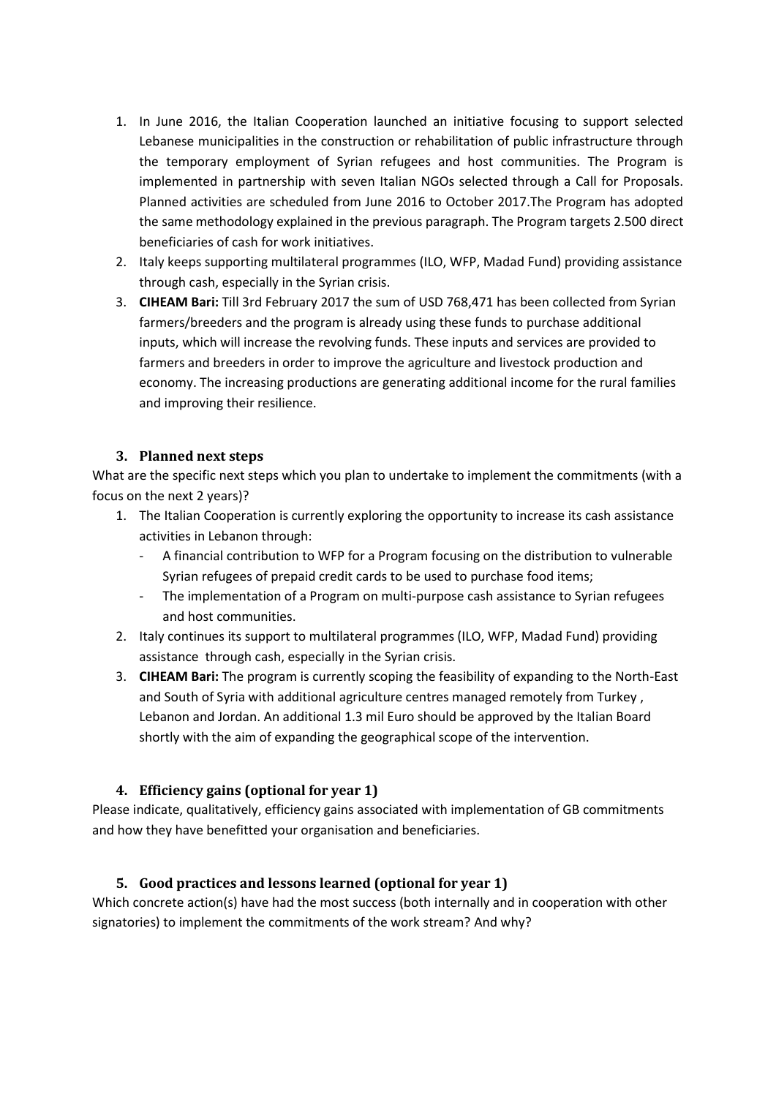- 1. In June 2016, the Italian Cooperation launched an initiative focusing to support selected Lebanese municipalities in the construction or rehabilitation of public infrastructure through the temporary employment of Syrian refugees and host communities. The Program is implemented in partnership with seven Italian NGOs selected through a Call for Proposals. Planned activities are scheduled from June 2016 to October 2017.The Program has adopted the same methodology explained in the previous paragraph. The Program targets 2.500 direct beneficiaries of cash for work initiatives.
- 2. Italy keeps supporting multilateral programmes (ILO, WFP, Madad Fund) providing assistance through cash, especially in the Syrian crisis.
- 3. **CIHEAM Bari:** Till 3rd February 2017 the sum of USD 768,471 has been collected from Syrian farmers/breeders and the program is already using these funds to purchase additional inputs, which will increase the revolving funds. These inputs and services are provided to farmers and breeders in order to improve the agriculture and livestock production and economy. The increasing productions are generating additional income for the rural families and improving their resilience.

#### <span id="page-6-0"></span>**3. Planned next steps**

What are the specific next steps which you plan to undertake to implement the commitments (with a focus on the next 2 years)?

- 1. The Italian Cooperation is currently exploring the opportunity to increase its cash assistance activities in Lebanon through:
	- A financial contribution to WFP for a Program focusing on the distribution to vulnerable Syrian refugees of prepaid credit cards to be used to purchase food items;
	- The implementation of a Program on multi-purpose cash assistance to Syrian refugees and host communities.
- 2. Italy continues its support to multilateral programmes (ILO, WFP, Madad Fund) providing assistance through cash, especially in the Syrian crisis.
- 3. **CIHEAM Bari:** The program is currently scoping the feasibility of expanding to the North-East and South of Syria with additional agriculture centres managed remotely from Turkey , Lebanon and Jordan. An additional 1.3 mil Euro should be approved by the Italian Board shortly with the aim of expanding the geographical scope of the intervention.

#### <span id="page-6-1"></span>**4. Efficiency gains (optional for year 1)**

Please indicate, qualitatively, efficiency gains associated with implementation of GB commitments and how they have benefitted your organisation and beneficiaries.

#### <span id="page-6-2"></span>**5. Good practices and lessons learned (optional for year 1)**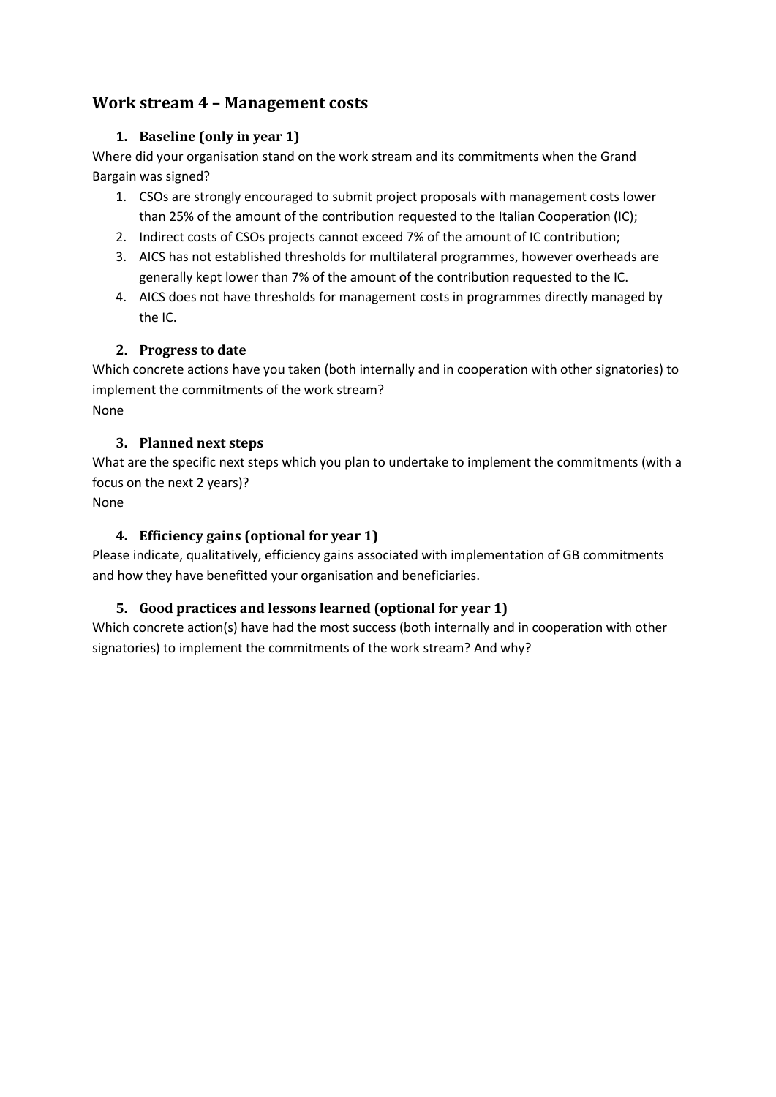## <span id="page-7-1"></span><span id="page-7-0"></span>**Work stream 4 – Management costs**

#### **1. Baseline (only in year 1)**

Where did your organisation stand on the work stream and its commitments when the Grand Bargain was signed?

- 1. CSOs are strongly encouraged to submit project proposals with management costs lower than 25% of the amount of the contribution requested to the Italian Cooperation (IC);
- 2. Indirect costs of CSOs projects cannot exceed 7% of the amount of IC contribution;
- 3. AICS has not established thresholds for multilateral programmes, however overheads are generally kept lower than 7% of the amount of the contribution requested to the IC.
- 4. AICS does not have thresholds for management costs in programmes directly managed by the IC.

#### <span id="page-7-2"></span>**2. Progress to date**

Which concrete actions have you taken (both internally and in cooperation with other signatories) to implement the commitments of the work stream? None

#### <span id="page-7-3"></span>**3. Planned next steps**

What are the specific next steps which you plan to undertake to implement the commitments (with a focus on the next 2 years)?

<span id="page-7-4"></span>None

#### **4. Efficiency gains (optional for year 1)**

Please indicate, qualitatively, efficiency gains associated with implementation of GB commitments and how they have benefitted your organisation and beneficiaries.

#### <span id="page-7-5"></span>**5. Good practices and lessons learned (optional for year 1)**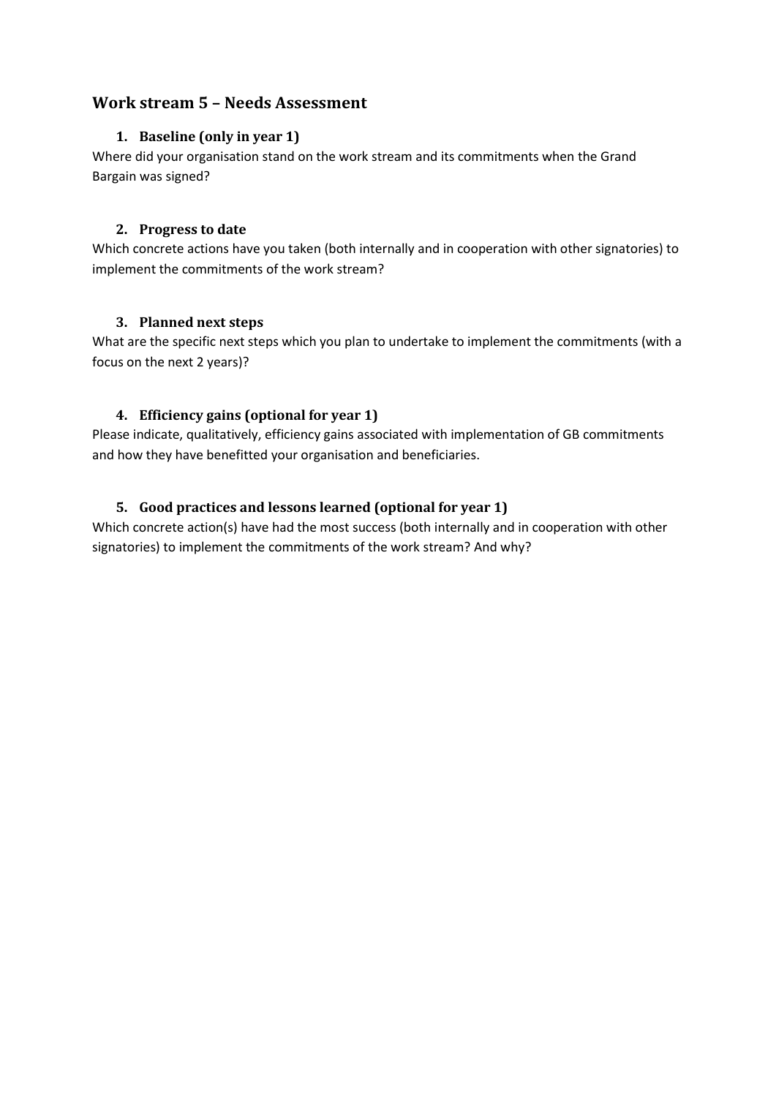## <span id="page-8-1"></span><span id="page-8-0"></span>**Work stream 5 – Needs Assessment**

#### **1. Baseline (only in year 1)**

Where did your organisation stand on the work stream and its commitments when the Grand Bargain was signed?

#### <span id="page-8-2"></span>**2. Progress to date**

Which concrete actions have you taken (both internally and in cooperation with other signatories) to implement the commitments of the work stream?

#### <span id="page-8-3"></span>**3. Planned next steps**

What are the specific next steps which you plan to undertake to implement the commitments (with a focus on the next 2 years)?

#### <span id="page-8-4"></span>**4. Efficiency gains (optional for year 1)**

Please indicate, qualitatively, efficiency gains associated with implementation of GB commitments and how they have benefitted your organisation and beneficiaries.

#### <span id="page-8-5"></span>**5. Good practices and lessons learned (optional for year 1)**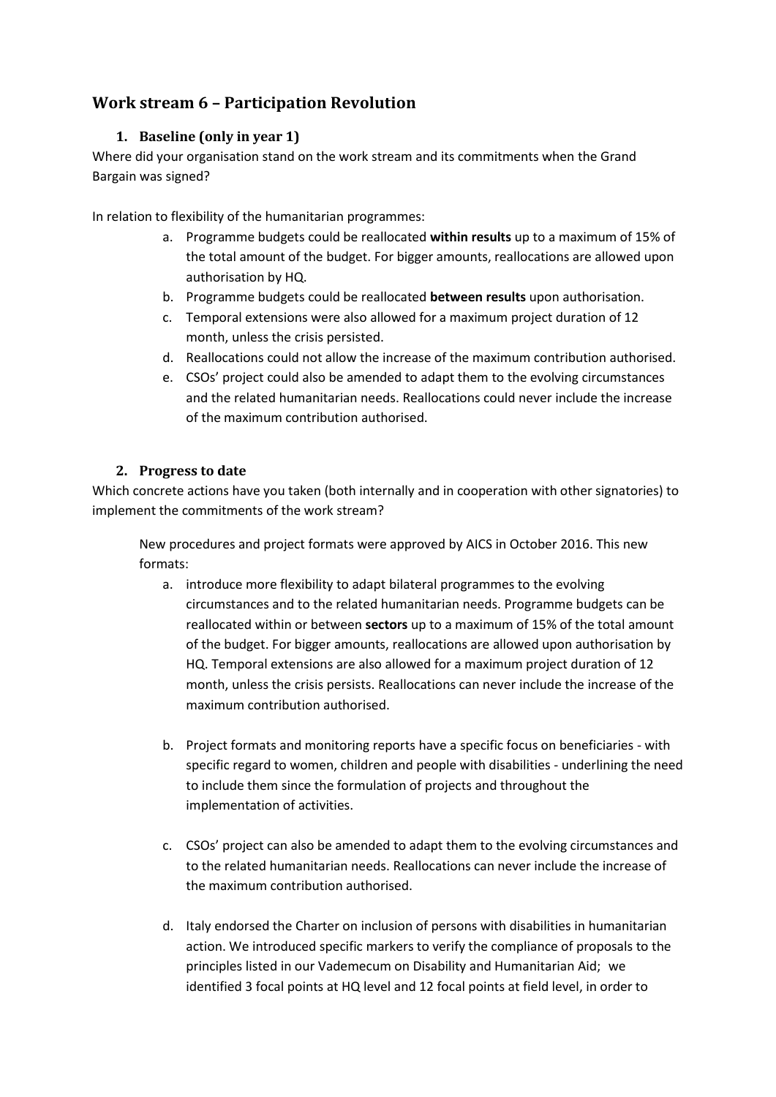## <span id="page-9-1"></span><span id="page-9-0"></span>**Work stream 6 – Participation Revolution**

#### **1. Baseline (only in year 1)**

Where did your organisation stand on the work stream and its commitments when the Grand Bargain was signed?

In relation to flexibility of the humanitarian programmes:

- a. Programme budgets could be reallocated **within results** up to a maximum of 15% of the total amount of the budget. For bigger amounts, reallocations are allowed upon authorisation by HQ.
- b. Programme budgets could be reallocated **between results** upon authorisation.
- c. Temporal extensions were also allowed for a maximum project duration of 12 month, unless the crisis persisted.
- d. Reallocations could not allow the increase of the maximum contribution authorised.
- e. CSOs' project could also be amended to adapt them to the evolving circumstances and the related humanitarian needs. Reallocations could never include the increase of the maximum contribution authorised.

#### **2. Progress to date**

<span id="page-9-2"></span>Which concrete actions have you taken (both internally and in cooperation with other signatories) to implement the commitments of the work stream?

New procedures and project formats were approved by AICS in October 2016. This new formats:

- a. introduce more flexibility to adapt bilateral programmes to the evolving circumstances and to the related humanitarian needs. Programme budgets can be reallocated within or between **sectors** up to a maximum of 15% of the total amount of the budget. For bigger amounts, reallocations are allowed upon authorisation by HQ. Temporal extensions are also allowed for a maximum project duration of 12 month, unless the crisis persists. Reallocations can never include the increase of the maximum contribution authorised.
- b. Project formats and monitoring reports have a specific focus on beneficiaries with specific regard to women, children and people with disabilities - underlining the need to include them since the formulation of projects and throughout the implementation of activities.
- c. CSOs' project can also be amended to adapt them to the evolving circumstances and to the related humanitarian needs. Reallocations can never include the increase of the maximum contribution authorised.
- d. Italy endorsed the Charter on inclusion of persons with disabilities in humanitarian action. We introduced specific markers to verify the compliance of proposals to the principles listed in our Vademecum on Disability and Humanitarian Aid; we identified 3 focal points at HQ level and 12 focal points at field level, in order to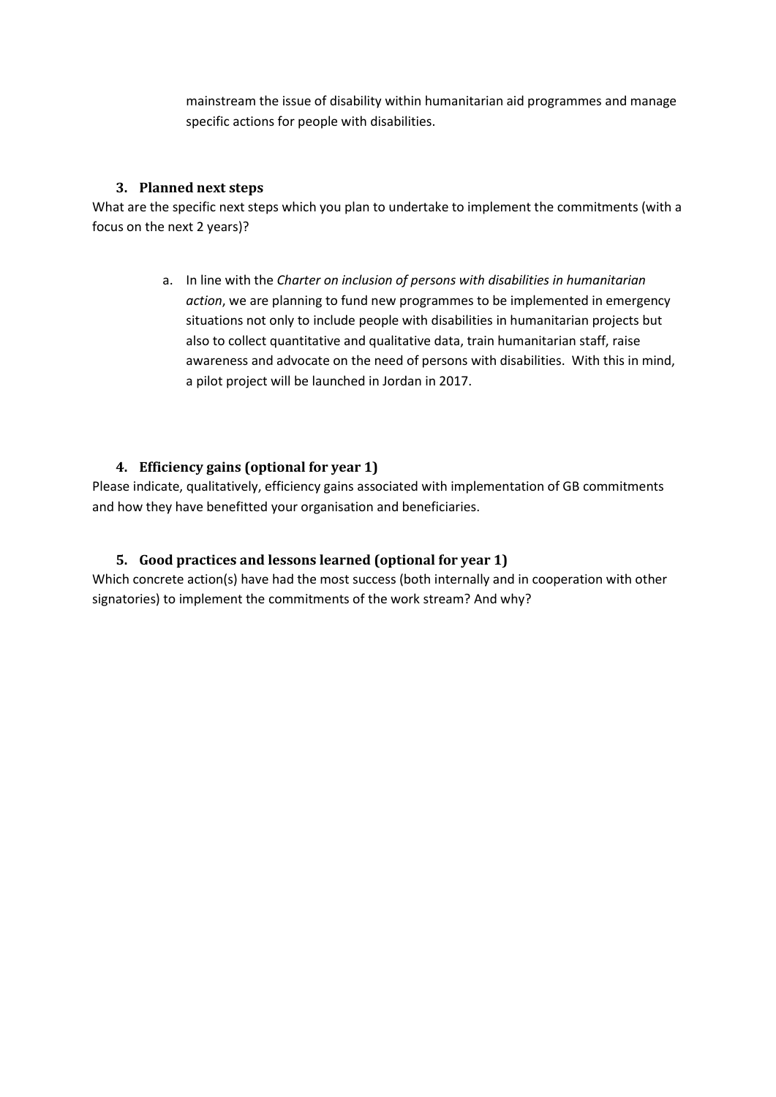mainstream the issue of disability within humanitarian aid programmes and manage specific actions for people with disabilities.

#### **3. Planned next steps**

<span id="page-10-0"></span>What are the specific next steps which you plan to undertake to implement the commitments (with a focus on the next 2 years)?

> a. In line with the *Charter on inclusion of persons with disabilities in humanitarian action*, we are planning to fund new programmes to be implemented in emergency situations not only to include people with disabilities in humanitarian projects but also to collect quantitative and qualitative data, train humanitarian staff, raise awareness and advocate on the need of persons with disabilities. With this in mind, a pilot project will be launched in Jordan in 2017.

#### <span id="page-10-1"></span>**4. Efficiency gains (optional for year 1)**

Please indicate, qualitatively, efficiency gains associated with implementation of GB commitments and how they have benefitted your organisation and beneficiaries.

#### <span id="page-10-2"></span>**5. Good practices and lessons learned (optional for year 1)**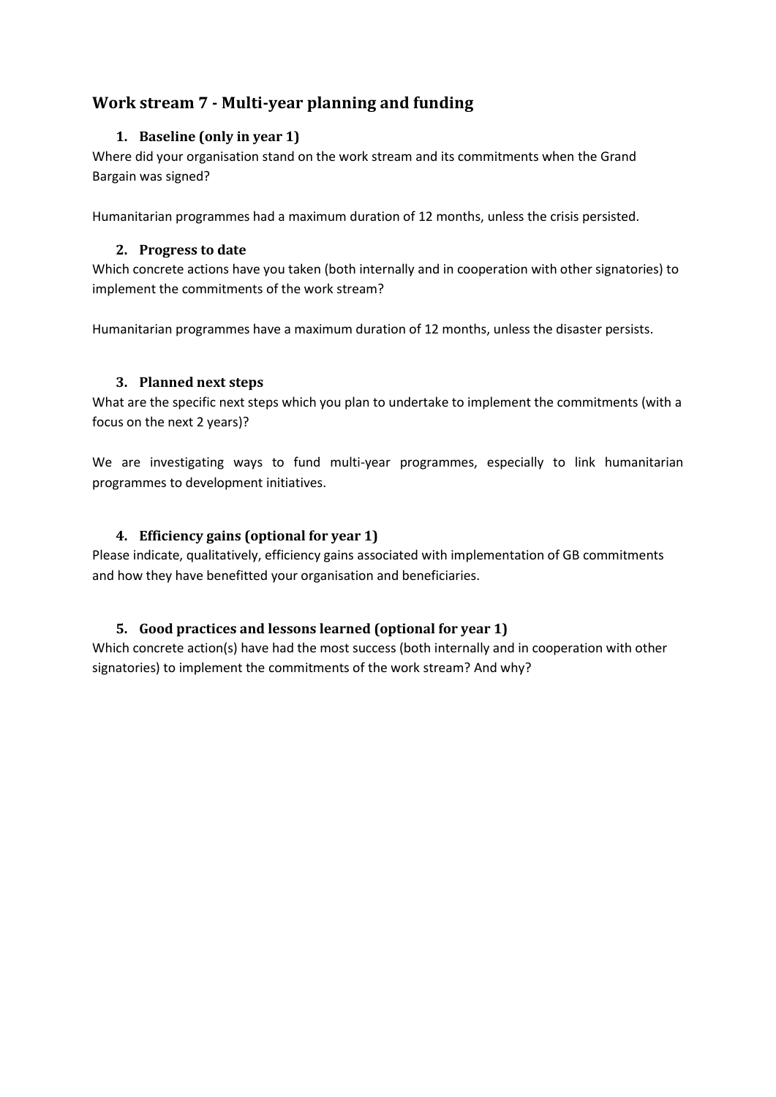## <span id="page-11-1"></span><span id="page-11-0"></span>**Work stream 7 - Multi-year planning and funding**

#### **1. Baseline (only in year 1)**

Where did your organisation stand on the work stream and its commitments when the Grand Bargain was signed?

<span id="page-11-2"></span>Humanitarian programmes had a maximum duration of 12 months, unless the crisis persisted.

#### **2. Progress to date**

Which concrete actions have you taken (both internally and in cooperation with other signatories) to implement the commitments of the work stream?

Humanitarian programmes have a maximum duration of 12 months, unless the disaster persists.

#### <span id="page-11-3"></span>**3. Planned next steps**

What are the specific next steps which you plan to undertake to implement the commitments (with a focus on the next 2 years)?

We are investigating ways to fund multi-year programmes, especially to link humanitarian programmes to development initiatives.

#### <span id="page-11-4"></span>**4. Efficiency gains (optional for year 1)**

Please indicate, qualitatively, efficiency gains associated with implementation of GB commitments and how they have benefitted your organisation and beneficiaries.

#### <span id="page-11-5"></span>**5. Good practices and lessons learned (optional for year 1)**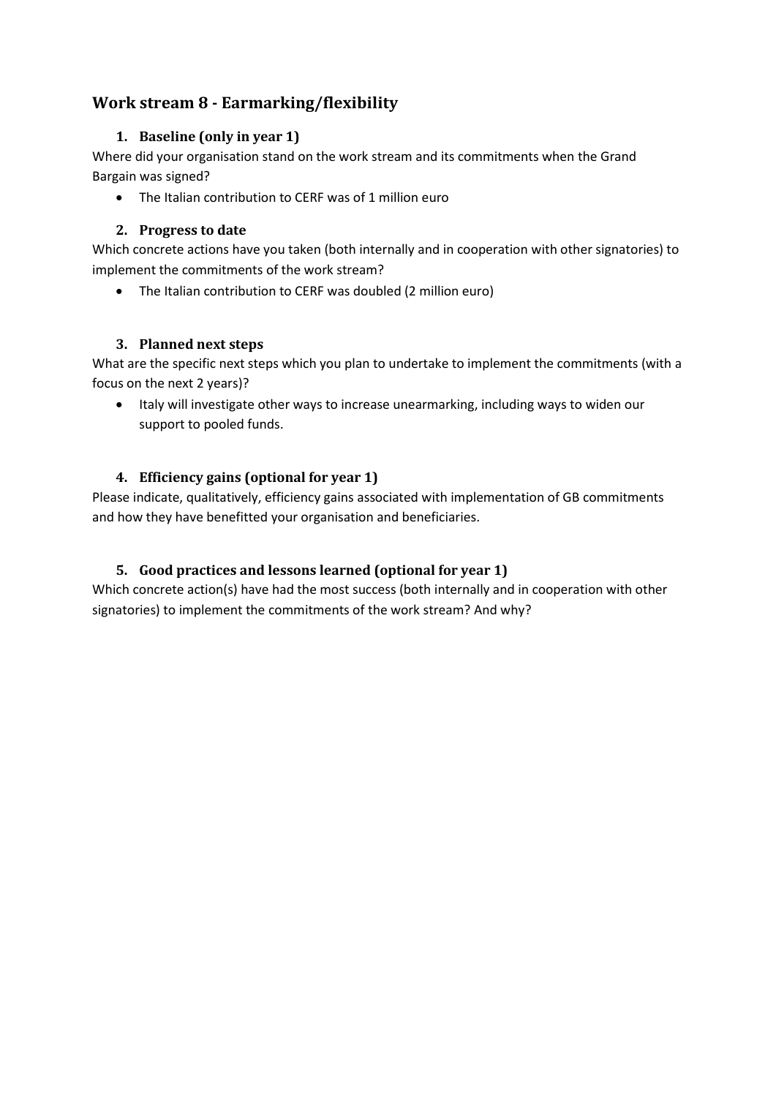## <span id="page-12-1"></span><span id="page-12-0"></span>**Work stream 8 - Earmarking/flexibility**

#### **1. Baseline (only in year 1)**

Where did your organisation stand on the work stream and its commitments when the Grand Bargain was signed?

• The Italian contribution to CERF was of 1 million euro

#### <span id="page-12-2"></span>**2. Progress to date**

Which concrete actions have you taken (both internally and in cooperation with other signatories) to implement the commitments of the work stream?

• The Italian contribution to CERF was doubled (2 million euro)

#### <span id="page-12-3"></span>**3. Planned next steps**

What are the specific next steps which you plan to undertake to implement the commitments (with a focus on the next 2 years)?

 Italy will investigate other ways to increase unearmarking, including ways to widen our support to pooled funds.

#### <span id="page-12-4"></span>**4. Efficiency gains (optional for year 1)**

Please indicate, qualitatively, efficiency gains associated with implementation of GB commitments and how they have benefitted your organisation and beneficiaries.

#### <span id="page-12-5"></span>**5. Good practices and lessons learned (optional for year 1)**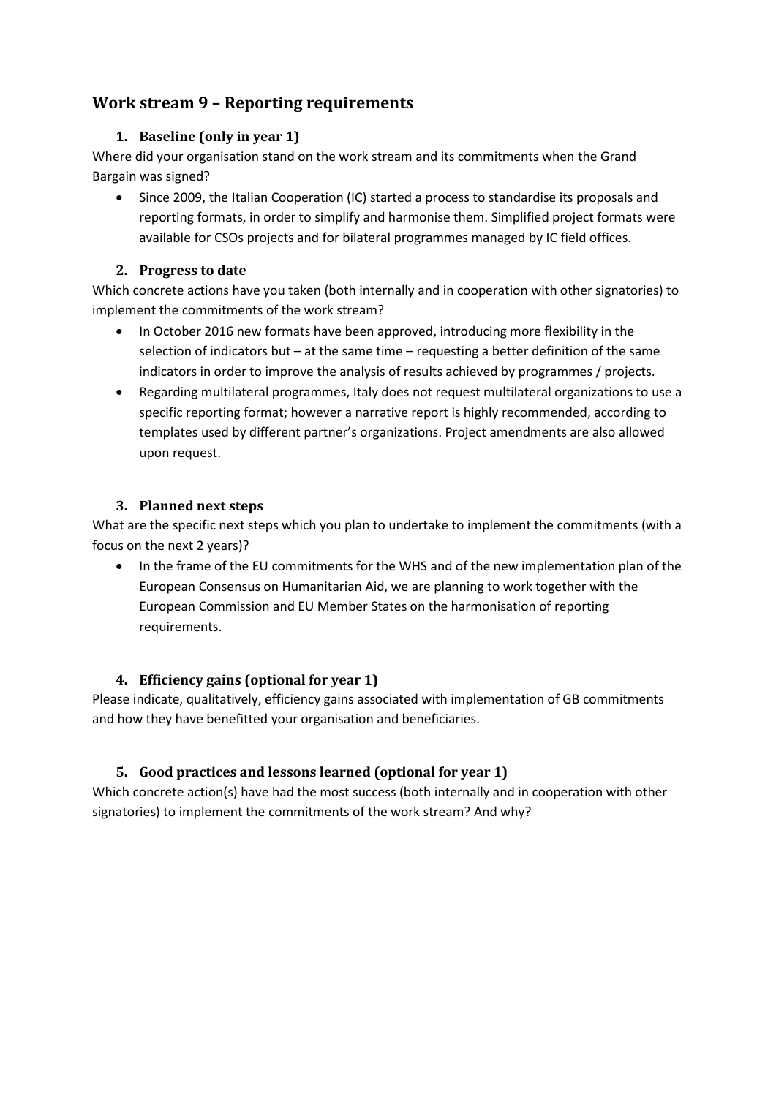## <span id="page-13-1"></span><span id="page-13-0"></span>**Work stream 9 – Reporting requirements**

#### **1. Baseline (only in year 1)**

Where did your organisation stand on the work stream and its commitments when the Grand Bargain was signed?

 Since 2009, the Italian Cooperation (IC) started a process to standardise its proposals and reporting formats, in order to simplify and harmonise them. Simplified project formats were available for CSOs projects and for bilateral programmes managed by IC field offices.

#### <span id="page-13-2"></span>**2. Progress to date**

Which concrete actions have you taken (both internally and in cooperation with other signatories) to implement the commitments of the work stream?

- In October 2016 new formats have been approved, introducing more flexibility in the selection of indicators but – at the same time – requesting a better definition of the same indicators in order to improve the analysis of results achieved by programmes / projects.
- Regarding multilateral programmes, Italy does not request multilateral organizations to use a specific reporting format; however a narrative report is highly recommended, according to templates used by different partner's organizations. Project amendments are also allowed upon request.

#### <span id="page-13-3"></span>**3. Planned next steps**

What are the specific next steps which you plan to undertake to implement the commitments (with a focus on the next 2 years)?

• In the frame of the EU commitments for the WHS and of the new implementation plan of the European Consensus on Humanitarian Aid, we are planning to work together with the European Commission and EU Member States on the harmonisation of reporting requirements.

#### <span id="page-13-4"></span>**4. Efficiency gains (optional for year 1)**

Please indicate, qualitatively, efficiency gains associated with implementation of GB commitments and how they have benefitted your organisation and beneficiaries.

#### <span id="page-13-5"></span>**5. Good practices and lessons learned (optional for year 1)**